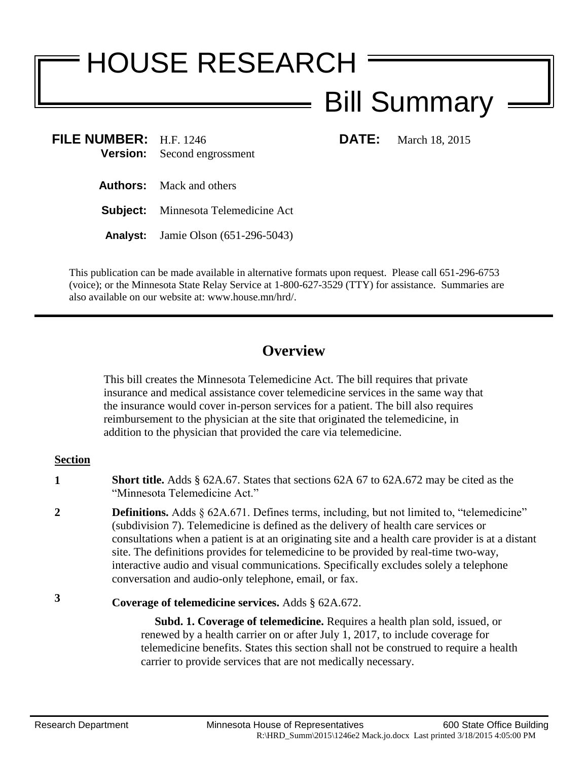# HOUSE RESEARCH

# Bill Summary

**FILE NUMBER:** H.F. 1246 **DATE:** March 18, 2015 **Version:** Second engrossment

**Authors:** Mack and others

**Subject:** Minnesota Telemedicine Act

**Analyst:** Jamie Olson (651-296-5043)

This publication can be made available in alternative formats upon request. Please call 651-296-6753 (voice); or the Minnesota State Relay Service at 1-800-627-3529 (TTY) for assistance. Summaries are also available on our website at: www.house.mn/hrd/.

## **Overview**

This bill creates the Minnesota Telemedicine Act. The bill requires that private insurance and medical assistance cover telemedicine services in the same way that the insurance would cover in-person services for a patient. The bill also requires reimbursement to the physician at the site that originated the telemedicine, in addition to the physician that provided the care via telemedicine.

### **Section**

- **1 Short title.** Adds § 62A.67. States that sections 62A 67 to 62A.672 may be cited as the "Minnesota Telemedicine Act."
- **2 Definitions.** Adds § 62A.671. Defines terms, including, but not limited to, "telemedicine" (subdivision 7). Telemedicine is defined as the delivery of health care services or consultations when a patient is at an originating site and a health care provider is at a distant site. The definitions provides for telemedicine to be provided by real-time two-way, interactive audio and visual communications. Specifically excludes solely a telephone conversation and audio-only telephone, email, or fax.
- **3 Coverage of telemedicine services.** Adds § 62A.672.

 **Subd. 1. Coverage of telemedicine.** Requires a health plan sold, issued, or renewed by a health carrier on or after July 1, 2017, to include coverage for telemedicine benefits. States this section shall not be construed to require a health carrier to provide services that are not medically necessary.